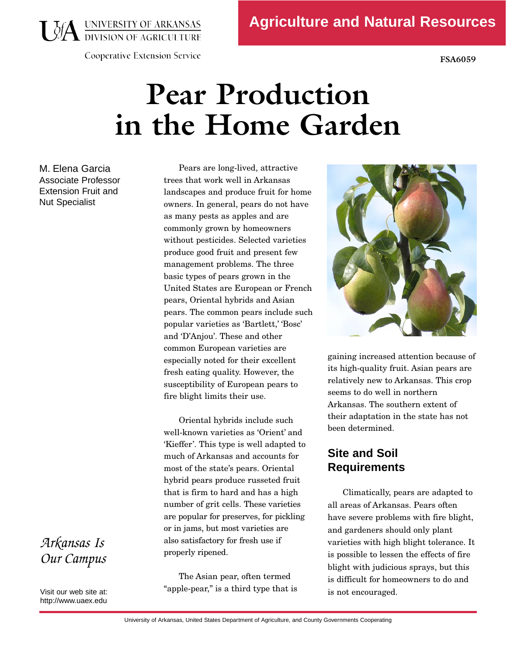**Agriculture and Natural Resources** 

**USA UNIVERSITY OF ARKANSAS** 

**Cooperative Extension Service** 

**FSA6059** 

# **Pear Production in the Home Garden**

M. Elena Garcia Associate Professor Extension Fruit and Nut Specialist

Pears are long-lived, attractive<br>trees that work well in Arkansas landscapes and produce fruit for home owners. In general, pears do not have as many pests as apples and are commonly grown by homeowners without pesticides. Selected varieties produce good fruit and present few management problems. The three basic types of pears grown in the United States are European or French pears, Oriental hybrids and Asian pears. The common pears include such popular varieties as 'Bartlett,' 'Bosc' and 'D'Anjou'. These and other common European varieties are especially noted for their excellent especially noted for their excellent fresh eating quality. However, the susceptibility of European pears to fire blight limits their use.

 $\frac{a_1}{b_1}$  are popular for preserves, for pickling or in jams, but most varieties are j  $\mathbf{1}$ Oriental hybrids include such<br>well-known varieties as 'Orient' and 'Kieffer'. This type is well adapted to much of Arkansas and accounts for most of the state's pears. Oriental hybrid pears produce russeted fruit that is firm to hard and has a high number of grit cells. These varieties are popular for preserves, for pickling. also satisfactory for fresh ase  $\frac{1}{\sqrt{2}}$ properly ripened.

The Asian pear, often termed apple pear," is a third type that is



gaining increased attention because of<br>its high-quality fruit. Asian pears are relatively new to Arkansas. This crop seems to do well in northern Arkansas. The southern extent of their adaptation in the state has not been determined. been determined.

### **Site and Soil Requirements**

Climatically, pears are adapted to<br>all areas of Arkansas. Pears often have severe problems with fire blight, and gardeners should only plant varieties with high blight tolerance. It is possible to lessen the effects of fire blight with judicious sprays, but this blight with judicious sprays, but this is difficult for homeowners to do and is not encouraged.

## *Arkansas Is Our Campus*

Visit our web site at: http://www.uaex.edu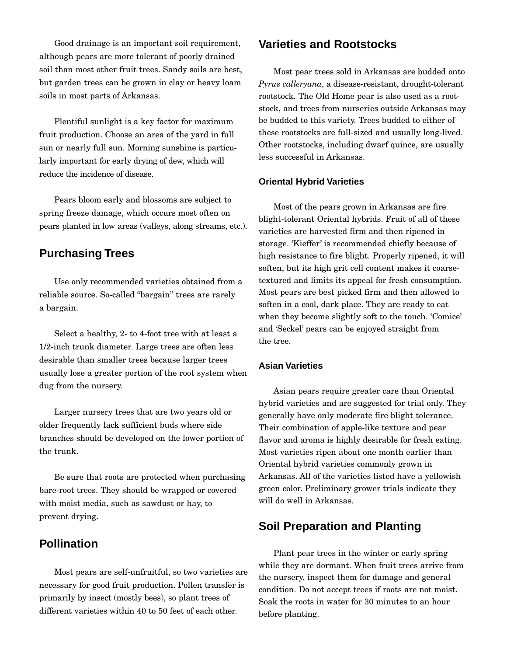Good drainage is an important soil requirement,<br>although pears are more tolerant of poorly drained soil than most other fruit trees. Sandy soils are best, soil than most other fruit trees. Sandy some dre best, but garden trees can be grown in clay or heavy loam soils in most parts of Arkansas.

 reduce the incidence of disease. Plentiful sunlight is a key factor for maximum fruit production. Choose an area of the yard in full sun or nearly full sun. Morning sunshine is particularly important for early drying of dew, which will

 pears planted in low areas (valleys, along streams, etc.). Pears bloom early and blossoms are subject to spring freeze damage, which occurs most often on

#### **Purchasing Trees**

Use only recommended varieties obtained from a reliable source. So-called "bargain" trees are rarely a bargain.

Select a healthy, 2- to 4-foot tree with at least a 1/2-inch trunk diameter. Large trees are often less 1/2 inch trunk diameter. Large trees are often less desirable than smaller trees because larger trees usually lose a greater portion of the root system when dug from the nursery.

Larger nursery trees that are two years old or<br>older frequently lack sufficient buds where side older frequently later sufficient buds where side branches should be developed on the lower portion of the trunk.

Be sure that roots are protected when purchasing bare-root trees. They should be wrapped or covered with moist media, such as sawdust or hay, to prevent drying.

#### **Pollination**

 primarily by insect (mostly bees), so plant trees of Ĭ Most pears are self-unfruitful, so two varieties are<br>necessary for good fruit production. Pollen transfer is primarily by insect (mostly bees), so plant trees of different varieties within 40 to 50 feet of each other.

#### **Varieties and Rootstocks**

rootstock. The Old Home pear is also used as a root-Most pear trees sold in Arkansas are budded onto *Pyrus calleryana*, a disease-resistant, drought-tolerant stock, and trees from nurseries outside Arkansas may be budded to this variety. Trees budded to either of these rootstocks are full-sized and usually long-lived. these rootstocks are full-sized and usually long-lived. Other rootstocks, including dwarf quince, are usually less successful in Arkansas.

#### **Oriental Hybrid Varieties**

Most of the pears grown in Arkansas are fire varieties are harvested firm and then ripened in storage. 'Kieffer' is recommended chiefly because of high resistance to fire blight. Properly ripened, it will  $h = h + h + h + h + h + h + h + h + h + h + h$ soften, but its high grit cell content makes it coarsetextured and limits its appeal for fresh consumption. Most pears are best picked firm and then allowed to soften in a cool, dark place. They are ready to eat when they become slightly soft to the touch. Connect and 'Seckel' pears can be enjoyed straight from the tree.

#### **Asian Varieties**

Asian pears require greater care than Oriental<br>hybrid varieties and are suggested for trial only. They generally have only moderate fire blight tolerance. generally have only moderate fire blight tolerance. Their combination of apple-like texture and pear flavor and aroma is highly desirable for fresh eating.<br>Most varieties ripen about one month earlier than Most varieties ripen about one month earlier than Oriental hybrid varieties commonly grown in  $A = \sum_{i=1}^{n} A_i$ green color. Preliminary grower trials indicate they will do well in Arkansas.

#### **Soil Preparation and Planting**

Plant pear trees in the winter or early spring<br>while they are dormant. When fruit trees arrive from the nursery, inspect them for damage and general condition. Do not accept trees if roots are not moist. condition. Do not accept trees if roots are not moist.  $S<sub>0</sub>$  and the roots in water for  $30$  minutes to an hour before planting.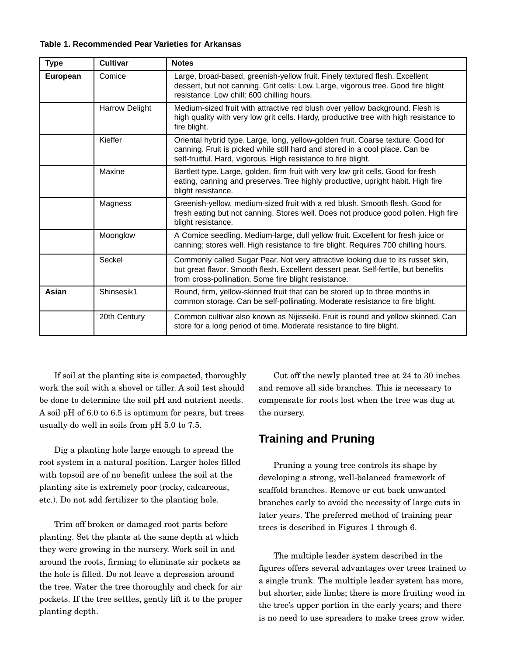**Table 1. Recommended Pear Varieties for Arkansas** 

| <b>Type</b> | <b>Cultivar</b>       | <b>Notes</b>                                                                                                                                                                                                                       |
|-------------|-----------------------|------------------------------------------------------------------------------------------------------------------------------------------------------------------------------------------------------------------------------------|
| European    | Comice                | Large, broad-based, greenish-yellow fruit. Finely textured flesh. Excellent<br>dessert, but not canning. Grit cells: Low. Large, vigorous tree. Good fire blight<br>resistance. Low chill: 600 chilling hours.                     |
|             | <b>Harrow Delight</b> | Medium-sized fruit with attractive red blush over yellow background. Flesh is<br>high quality with very low grit cells. Hardy, productive tree with high resistance to<br>fire blight.                                             |
|             | Kieffer               | Oriental hybrid type. Large, long, yellow-golden fruit. Coarse texture. Good for<br>canning. Fruit is picked while still hard and stored in a cool place. Can be<br>self-fruitful. Hard, vigorous. High resistance to fire blight. |
|             | Maxine                | Bartlett type. Large, golden, firm fruit with very low grit cells. Good for fresh<br>eating, canning and preserves. Tree highly productive, upright habit. High fire<br>blight resistance.                                         |
|             | Magness               | Greenish-yellow, medium-sized fruit with a red blush. Smooth flesh. Good for<br>fresh eating but not canning. Stores well. Does not produce good pollen. High fire<br>blight resistance.                                           |
|             | Moonglow              | A Comice seedling. Medium-large, dull yellow fruit. Excellent for fresh juice or<br>canning; stores well. High resistance to fire blight. Requires 700 chilling hours.                                                             |
|             | Seckel                | Commonly called Sugar Pear. Not very attractive looking due to its russet skin,<br>but great flavor. Smooth flesh. Excellent dessert pear. Self-fertile, but benefits<br>from cross-pollination. Some fire blight resistance.      |
| Asian       | Shinsesik1            | Round, firm, yellow-skinned fruit that can be stored up to three months in<br>common storage. Can be self-pollinating. Moderate resistance to fire blight.                                                                         |
|             | 20th Century          | Common cultivar also known as Nijisseiki. Fruit is round and yellow skinned. Can<br>store for a long period of time. Moderate resistance to fire blight.                                                                           |

 If soil at the planting site is compacted, thoroughly be done to determine the soil pH and nutrient needs. A soil pH of  $6.0$  to  $6.5$  is optimum for pears, but trees  $\frac{1}{1}$   $\frac{1}{1}$   $\frac{1}{1}$   $\frac{1}{1}$   $\frac{1}{1}$   $\frac{1}{1}$   $\frac{1}{1}$   $\frac{1}{1}$   $\frac{1}{1}$   $\frac{1}{1}$   $\frac{1}{1}$   $\frac{1}{1}$   $\frac{1}{1}$   $\frac{1}{1}$   $\frac{1}{1}$   $\frac{1}{1}$   $\frac{1}{1}$   $\frac{1}{1}$   $\frac{1}{1}$   $\frac{1}{1}$   $\frac{1}{1}$   $\frac{1}{1}$  usually do well in some H one pH 5.0 to 7.0.

Dig a planting hole large enough to spread the root system in a natural position. Larger holes filled with topsoil are of no benefit unless the soil at the planting site is extremely poor (rocky, calcareous, planting site is extremely poor (rocky, calcareous, etc.). Do not add fertilizer to the planting hole.

Trim off broken or damaged root parts before<br>planting. Set the plants at the same depth at which they were growing in the nursery. Work soil in and around the roots, firming to eliminate air pockets as the hole is filled. Do not leave a depression around the tree. Water the tree thoroughly and check for air the tree. Water the tree thoroughly and check for air pockets. If the tree settles, gently lift it to the proper planting depth.

Cut off the newly planted tree at 24 to 30 inches and remove all side branches. This is necessary to compensate for roots lost when the tree was dug at the nursery.

### **Training and Pruning**

Pruning a young tree controls its shape by<br>developing a strong, well-balanced framework of scaffold branches. Remove or cut back unwanted branches early to avoid the necessity of large cuts in branches early to avoid the necessity of large cuts in later years. The preferred method of training pear trees is described in Figures 1 through 6.

The multiple leader system described in the<br>figures offers several advantages over trees trained to a single trunk. The multiple leader system has more, but shorter, side limbs; there is more fruiting wood in the tree's upper portion in the early years; and there the tree's upper portion in the early years; and there is no need to use spreaders to make trees grow wider.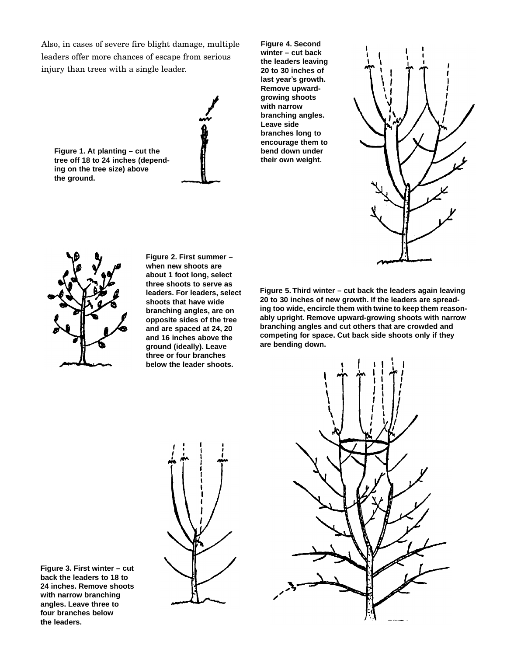Also, in cases of severe fire blight damage, multiple leaders offer more chances of escape from serious injury than trees with a single leader.



**Figure 4. Second winter – cut back the leaders leaving 20 to 30 inches of last year's growth. Remove upwardgrowing shoots with narrow branching angles. Leave side branches long to encourage them to bend down under their own weight.** 





**Figure 2. First summer – when new shoots are about 1 foot long, select three shoots to serve as leaders. For leaders, select shoots that have wide branching angles, are on opposite sides of the tree and are spaced at 24, 20 and 16 inches above the ground (ideally). Leave three or four branches below the leader shoots.** 

 **Figure 5. Third winter – cut back the leaders again leaving 20 to 30 inches of new growth. If the leaders are spread- ing too wide, encircle them with twine to keep them reasonably upright. Remove upward-growing shoots with narrow branching angles and cut others that are crowded and competing for space. Cut back side shoots only if they are bending down.** 

**Figure 3. First winter – cut back the leaders to 18 to 24 inches. Remove shoots with narrow branching angles. Leave three to four branches below the leaders.** 



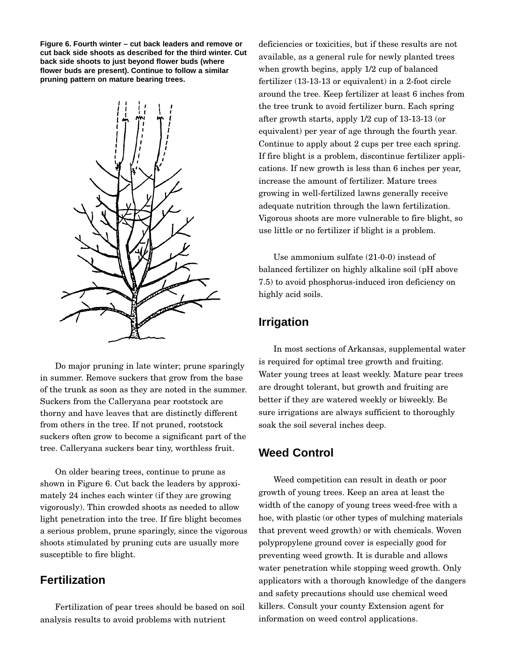**Figure 6. Fourth winter – cut back leaders and remove or cut back side shoots as described for the third winter. Cut back side shoots to just beyond flower buds (where flower buds are present). Continue to follow a similar pruning pattern on mature bearing trees.** 



Do major pruning in late winter; prune sparingly<br>in summer. Remove suckers that grow from the base of the trunk as soon as they are noted in the summer. Suckers from the Calleryana pear rootstock are thorny and have leaves that are distinctly different from others in the tree. If not pruned, rootstock from others in the tree. If not pruned, rootstock suckers often grow to become a significant part of the tree. Calleryana suckers bear tiny, worthless fruit.

On older bearing trees, continue to prune as<br>shown in Figure 6. Cut back the leaders by approximately 24 inches each winter (if they are growing vigorously). Thin crowded shoots as needed to allow light penetration into the tree. If fire blight becomes a serious problem, prune sparingly, since the vigorous  $\alpha$  serious problem, prune sparingly, since the vigorous shoots stimulated by pruning cuts are usually more susceptible to fire blight.

#### **Fertilization**

Fertilization of pear trees should be based on soil analysis results to avoid problems with nutrient

Î deficiencies or toxicities, but if these results are not available, as a general rule for newly planted trees when growth begins, apply  $1/2$  cup of balanced when growth begins, apply  $\pm 2$  cup of balanced for  $\frac{1}{3}$  or  $\frac{1}{3}$  or equivalent) in a 2-foot circle around the tree. Keep fertilizer at least 6 inches from after growth starts, apply  $1/2$  cup of  $13-13-13$  (or after growth starts, apply  $1/2$  cup of 13-13-13 (or equivalent) per year of age through the fourth year. Continue to apply about 2 cups per tree each spring.<br>If fire blight is a problem, discontinue fertilizer applications. If new growth is less than 6 inches per year, increase the amount of fertilizer. Mature trees growing in well-fertilized lawns generally receive. adequate nutrition through the lawn fertilization. Vigorous shoots are more vulnerable to fire blight, so Vigorous shoots are more vulnerable to fire blight, so use little or no fertilizer if blight is a problem.

Use ammonium sulfate (21-0-0) instead of<br>balanced fertilizer on highly alkaline soil (pH above balanced fertilizer on highly alkaline soil (pH above 7.5) to avoid phosphorus-induced iron deficiency on highly acid soils.

#### **Irrigation**

In most sections of Arkansas, supplemental water is required for optimal tree growth and fruiting. Water young trees at least weekly. Mature pear trees are drought tolerant, but growth and fruiting are better if they are watered weekly or biweekly. Be<br>sure irrigations are always sufficient to thoroughly sure irrigations are always sufficient to thoroughly soak the soil several inches deep.

#### **Weed Control**

 hoe, with plastic (or other types of mulching materials Weed competition can result in death or poor<br>growth of young trees. Keep an area at least the growth of young trees. He p an area at least the width of the canopy of young trees weed-free with a polypropylene ground cover is especially good for polypropylene ground cover is especially good for preventing weed growth. It is durable and allows water penetration while stopping weed growth. Only applicators with a thorough knowledge of the dangers and safety precautions should use chemical weed and safety precautions should use chemical weed killers. Consult your county Extension agent for information on weed control applications.